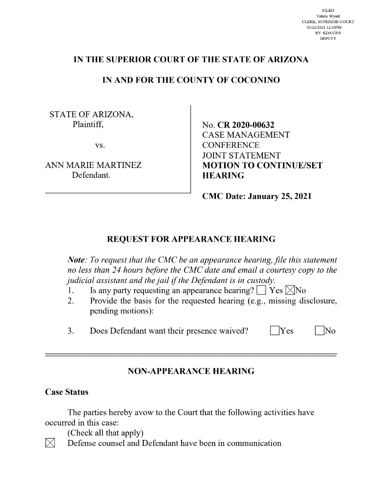# IN THE SUPERIOR COURT OF THE STATE OF ARIZONA

## IN AND FOR THE COUNTY OF COCONINO

STATE OF ARIZONA, Plaintiff.

VS.

ANN MARIE MARTINEZ Defendant.

No. CR 2020-00632 **CASE MANAGEMENT CONFERENCE JOINT STATEMENT MOTION TO CONTINUE/SET HEARING** 

**CMC Date: January 25, 2021** 

## REQUEST FOR APPEARANCE HEARING

Note: To request that the CMC be an appearance hearing, file this statement no less than 24 hours before the CMC date and email a courtesy copy to the judicial assistant and the jail if the Defendant is in custody.

- Is any party requesting an appearance hearing?  $\Box$  Yes  $\boxtimes$ No 1.
- Provide the basis for the requested hearing (e.g., missing disclosure, 2. pending motions):
- Does Defendant want their presence waived? 3.

 $\overline{\rm No}$ 

Yes

## **NON-APPEARANCE HEARING**

### **Case Status**

 $\bowtie$ 

The parties hereby avow to the Court that the following activities have occurred in this case:

(Check all that apply)

Defense counsel and Defendant have been in communication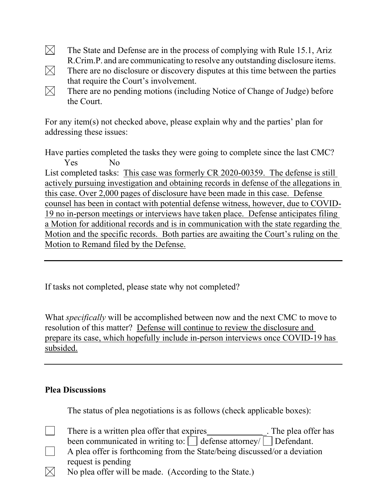- $\boxtimes$ The State and Defense are in the process of complying with Rule 15.1, Ariz R.Crim.P. and are communicating to resolve any outstanding disclosure items.
- $\boxtimes$ There are no disclosure or discovery disputes at this time between the parties that require the Court's involvement.
- $\boxtimes$ There are no pending motions (including Notice of Change of Judge) before the Court.

For any item(s) not checked above, please explain why and the parties' plan for addressing these issues:

Have parties completed the tasks they were going to complete since the last CMC? Yes No

List completed tasks: This case was formerly CR 2020-00359. The defense is still actively pursuing investigation and obtaining records in defense of the allegations in this case. Over 2,000 pages of disclosure have been made in this case. Defense counsel has been in contact with potential defense witness, however, due to COVID-19 no in-person meetings or interviews have taken place. Defense anticipates filing a Motion for additional records and is in communication with the state regarding the Motion and the specific records. Both parties are awaiting the Court's ruling on the Motion to Remand filed by the Defense.

If tasks not completed, please state why not completed?

What *specifically* will be accomplished between now and the next CMC to move to resolution of this matter? Defense will continue to review the disclosure and prepare its case, which hopefully include in-person interviews once COVID-19 has subsided.

## **Plea Discussions**

The status of plea negotiations is as follows (check applicable boxes):

- There is a written plea offer that expires The plea offer has  $\blacksquare$ been communicated in writing to:  $\Box$  defense attorney/  $\Box$  Defendant.
- A plea offer is forthcoming from the State/being discussed/or a deviation request is pending
- $\boxtimes$ No plea offer will be made. (According to the State.)